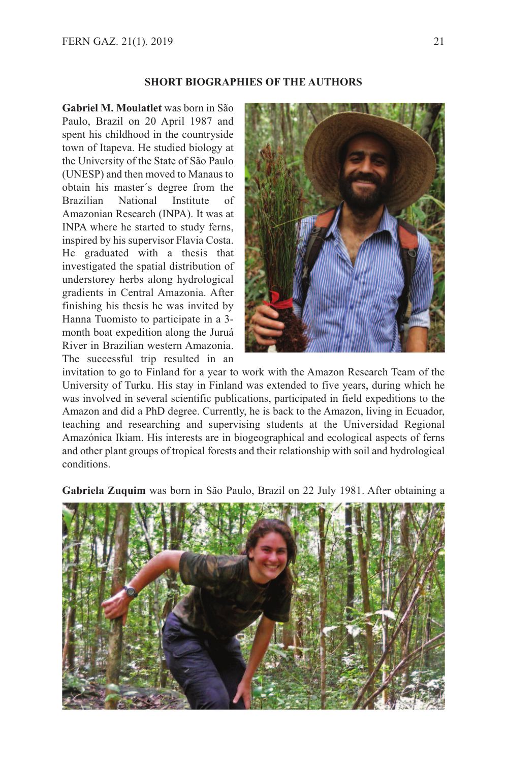## **SHORT BIOGRAPHIES OF THE AUTHORS**

**Gabriel M. Moulatlet** was born in São Paulo, Brazil on 20 April 1987 and spent his childhood in the countryside town of Itapeva. He studied biology at the University of the State of São Paulo (UNESP) and then moved to Manaus to obtain his master´s degree from the Brazilian National Institute of Amazonian Research (INPA). It was at INPA where he started to study ferns, inspired by his supervisor Flavia Costa. He graduated with a thesis that investigated the spatial distribution of understorey herbs along hydrological gradients in Central Amazonia. After finishing his thesis he was invited by Hanna Tuomisto to participate in a 3 month boat expedition along the Juruá River in Brazilian western Amazonia. The successful trip resulted in an



invitation to go to Finland for a year to work with the Amazon Research Team of the University of Turku. His stay in Finland was extended to five years, during which he was involved in several scientific publications, participated in field expeditions to the Amazon and did a PhD degree. Currently, he is back to the Amazon, living in Ecuador, teaching and researching and supervising students at the Universidad Regional Amazónica Ikiam. His interests are in biogeographical and ecological aspects of ferns and other plant groups of tropical forests and their relationship with soil and hydrological conditions.

**Gabriela Zuquim** was born in São Paulo, Brazil on 22 July 1981. After obtaining a